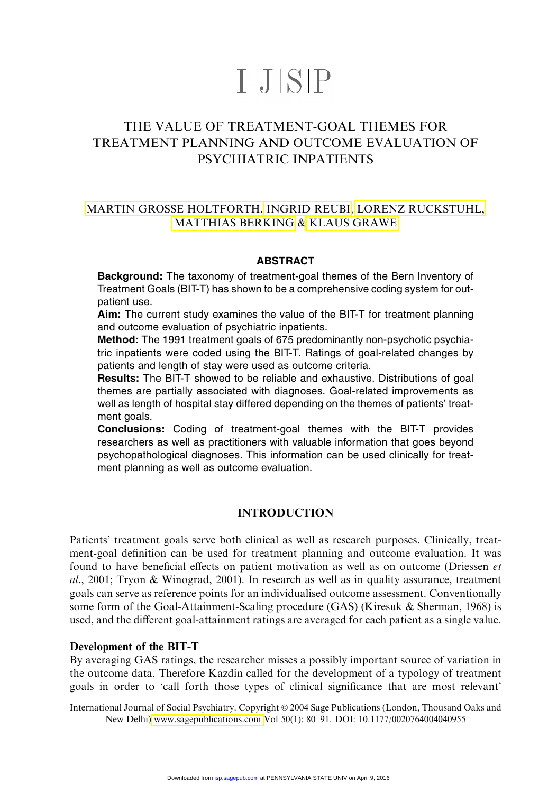# $I.J.S.P$

# THE VALUE OF TREATMENT-GOAL THEMES FOR TREATMENT PLANNING AND OUTCOME EVALUATION OF PSYCHIATRIC INPATIENTS

# [MARTIN GROSSE HOLTFORTH, INGRID REUBI, LORENZ RUCKSTUHL,](#page-11-0) [MATTHIAS BERKING](#page-11-0) & [KLAUS GRAWE](#page-11-0)

# **ABSTRACT**

Background: The taxonomy of treatment-goal themes of the Bern Inventory of Treatment Goals (BIT-T) has shown to be a comprehensive coding system for outpatient use.

Aim: The current study examines the value of the BIT-T for treatment planning and outcome evaluation of psychiatric inpatients.

Method: The 1991 treatment goals of 675 predominantly non-psychotic psychiatric inpatients were coded using the BIT-T. Ratings of goal-related changes by patients and length of stay were used as outcome criteria.

Results: The BIT-T showed to be reliable and exhaustive. Distributions of goal themes are partially associated with diagnoses. Goal-related improvements as well as length of hospital stay differed depending on the themes of patients' treatment goals.

Conclusions: Coding of treatment-goal themes with the BIT-T provides researchers as well as practitioners with valuable information that goes beyond psychopathological diagnoses. This information can be used clinically for treatment planning as well as outcome evaluation.

# INTRODUCTION

Patients' treatment goals serve both clinical as well as research purposes. Clinically, treatment-goal definition can be used for treatment planning and outcome evaluation. It was found to have beneficial effects on patient motivation as well as on outcome (Driessen et al., 2001; Tryon & Winograd, 2001). In research as well as in quality assurance, treatment goals can serve as reference points for an individualised outcome assessment. Conventionally some form of the Goal-Attainment-Scaling procedure (GAS) (Kiresuk & Sherman, 1968) is used, and the different goal-attainment ratings are averaged for each patient as a single value.

# Development of the BIT-T

By averaging GAS ratings, the researcher misses a possibly important source of variation in the outcome data. Therefore Kazdin called for the development of a typology of treatment goals in order to 'call forth those types of clinical significance that are most relevant'

International Journal of Social Psychiatry. Copyright *&* 2004 Sage Publications (London, Thousand Oaks and New Delhi)<www.sagepublications.com> Vol 50(1): 80–91. DOI: 10.1177/0020764004040955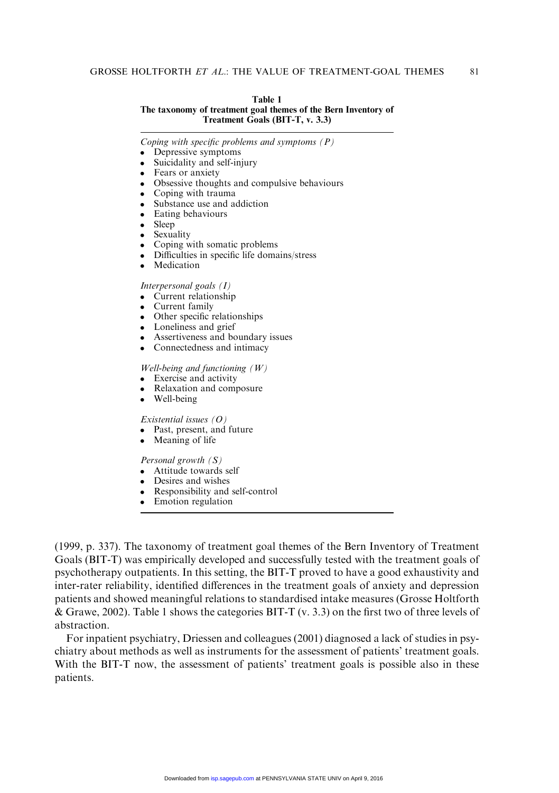#### Table 1

#### The taxonomy of treatment goal themes of the Bern Inventory of Treatment Goals (BIT-T, v. 3.3)

Coping with specific problems and symptoms  $(P)$ 

- . Depressive symptoms
- . Suicidality and self-injury
- . Fears or anxiety
- . Obsessive thoughts and compulsive behaviours
- . Coping with trauma
- . Substance use and addiction
- . Eating behaviours
- . Sleep
- . Sexuality
- Coping with somatic problems
- . Difficulties in specific life domains/stress
- . Medication

#### Interpersonal goals (I)

- . Current relationship
- . Current family
- . Other specific relationships
- . Loneliness and grief
- . Assertiveness and boundary issues
- . Connectedness and intimacy

#### Well-being and functioning  $(W)$

- . Exercise and activity
- . Relaxation and composure
- . Well-being

#### Existential issues  $(O)$

- . Past, present, and future
- Meaning of life

#### Personal growth (S)

- . Attitude towards self
- . Desires and wishes
- . Responsibility and self-control
- . Emotion regulation

(1999, p. 337). The taxonomy of treatment goal themes of the Bern Inventory of Treatment Goals (BIT-T) was empirically developed and successfully tested with the treatment goals of psychotherapy outpatients. In this setting, the BIT-T proved to have a good exhaustivity and inter-rater reliability, identified differences in the treatment goals of anxiety and depression patients and showed meaningful relations to standardised intake measures (Grosse Holtforth & Grawe, 2002). Table 1 shows the categories BIT-T (v. 3.3) on the first two of three levels of abstraction.

For inpatient psychiatry, Driessen and colleagues (2001) diagnosed a lack of studies in psychiatry about methods as well as instruments for the assessment of patients' treatment goals. With the BIT-T now, the assessment of patients' treatment goals is possible also in these patients.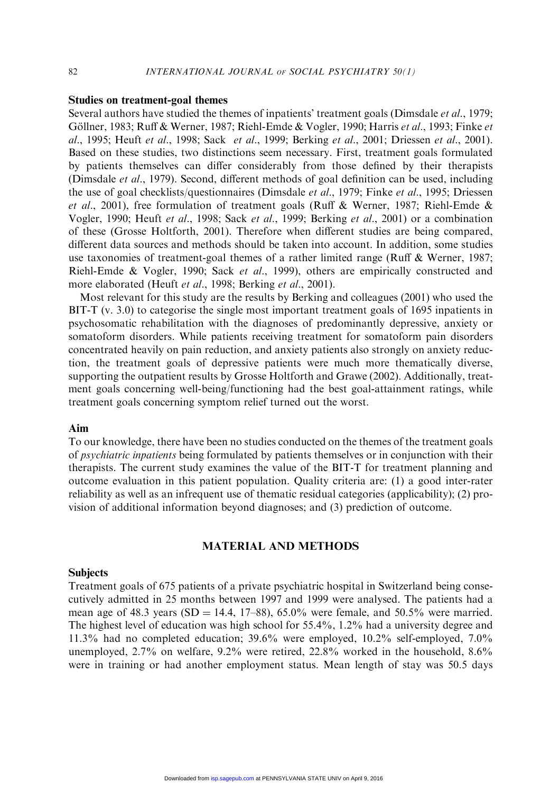#### Studies on treatment-goal themes

Several authors have studied the themes of inpatients' treatment goals (Dimsdale et al., 1979; Göllner, 1983; Ruff & Werner, 1987; Riehl-Emde & Vogler, 1990; Harris et al., 1993; Finke et al., 1995; Heuft et al., 1998; Sack et al., 1999; Berking et al., 2001; Driessen et al., 2001). Based on these studies, two distinctions seem necessary. First, treatment goals formulated by patients themselves can differ considerably from those defined by their therapists (Dimsdale *et al.*, 1979). Second, different methods of goal definition can be used, including the use of goal checklists/questionnaires (Dimsdale *et al.*, 1979; Finke *et al.*, 1995; Driessen et al., 2001), free formulation of treatment goals (Ruff & Werner, 1987; Riehl-Emde & Vogler, 1990; Heuft et al., 1998; Sack et al., 1999; Berking et al., 2001) or a combination of these (Grosse Holtforth, 2001). Therefore when different studies are being compared, different data sources and methods should be taken into account. In addition, some studies use taxonomies of treatment-goal themes of a rather limited range (Ruff & Werner, 1987; Riehl-Emde & Vogler, 1990; Sack et al., 1999), others are empirically constructed and more elaborated (Heuft et al., 1998; Berking et al., 2001).

Most relevant for this study are the results by Berking and colleagues (2001) who used the BIT-T (v. 3.0) to categorise the single most important treatment goals of 1695 inpatients in psychosomatic rehabilitation with the diagnoses of predominantly depressive, anxiety or somatoform disorders. While patients receiving treatment for somatoform pain disorders concentrated heavily on pain reduction, and anxiety patients also strongly on anxiety reduction, the treatment goals of depressive patients were much more thematically diverse, supporting the outpatient results by Grosse Holtforth and Grawe (2002). Additionally, treatment goals concerning well-being/functioning had the best goal-attainment ratings, while treatment goals concerning symptom relief turned out the worst.

### Aim

To our knowledge, there have been no studies conducted on the themes of the treatment goals of *psychiatric inpatients* being formulated by patients themselves or in conjunction with their therapists. The current study examines the value of the BIT-T for treatment planning and outcome evaluation in this patient population. Quality criteria are: (1) a good inter-rater reliability as well as an infrequent use of thematic residual categories (applicability); (2) provision of additional information beyond diagnoses; and (3) prediction of outcome.

# MATERIAL AND METHODS

#### **Subjects**

Treatment goals of 675 patients of a private psychiatric hospital in Switzerland being consecutively admitted in 25 months between 1997 and 1999 were analysed. The patients had a mean age of 48.3 years (SD = 14.4, 17–88), 65.0% were female, and 50.5% were married. The highest level of education was high school for 55.4%, 1.2% had a university degree and 11.3% had no completed education; 39.6% were employed, 10.2% self-employed, 7.0% unemployed, 2.7% on welfare, 9.2% were retired, 22.8% worked in the household, 8.6% were in training or had another employment status. Mean length of stay was 50.5 days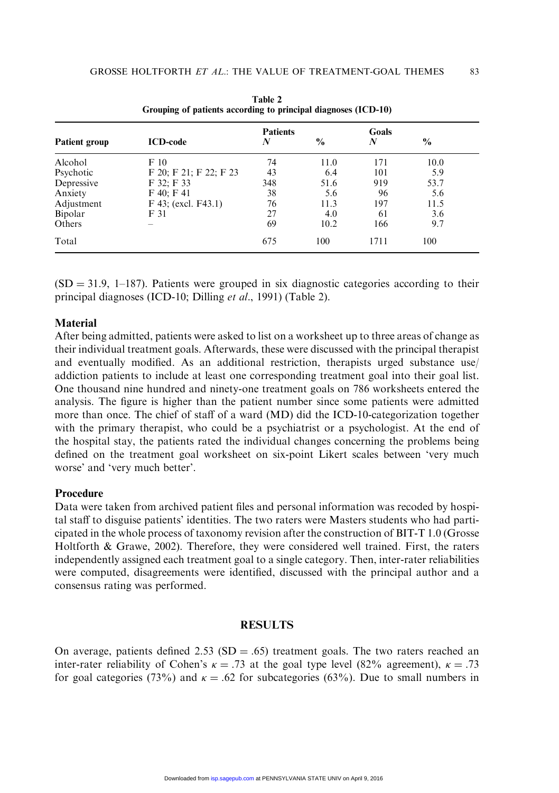| Patient group | <b>ICD-code</b>          | <b>Patients</b><br>N | $\%$ | Goals<br>N | $\%$ |
|---------------|--------------------------|----------------------|------|------------|------|
| Alcohol       | F 10                     | 74                   | 11.0 | 171        | 10.0 |
| Psychotic     | F 20; F 21; F 22; F 23   | 43                   | 6.4  | 101        | 5.9  |
| Depressive    | $F$ 32; $F$ 33           | 348                  | 51.6 | 919        | 53.7 |
| Anxiety       | $F$ 40; F 41             | 38                   | 5.6  | 96         | 5.6  |
| Adjustment    | $F$ 43; (excl. $F$ 43.1) | 76                   | 11.3 | 197        | 11.5 |
| Bipolar       | F 31                     | 27                   | 4.0  | 61         | 3.6  |
| Others        |                          | 69                   | 10.2 | 166        | 9.7  |
| Total         |                          | 675                  | 100  | 1711       | 100  |

Table 2 Grouping of patients according to principal diagnoses (ICD-10)

 $(SD = 31.9, 1-187)$ . Patients were grouped in six diagnostic categories according to their principal diagnoses (ICD-10; Dilling et al., 1991) (Table 2).

#### Material

After being admitted, patients were asked to list on a worksheet up to three areas of change as their individual treatment goals. Afterwards, these were discussed with the principal therapist and eventually modified. As an additional restriction, therapists urged substance use/ addiction patients to include at least one corresponding treatment goal into their goal list. One thousand nine hundred and ninety-one treatment goals on 786 worksheets entered the analysis. The figure is higher than the patient number since some patients were admitted more than once. The chief of staff of a ward (MD) did the ICD-10-categorization together with the primary therapist, who could be a psychiatrist or a psychologist. At the end of the hospital stay, the patients rated the individual changes concerning the problems being defined on the treatment goal worksheet on six-point Likert scales between 'very much worse' and 'very much better'.

#### Procedure

Data were taken from archived patient files and personal information was recoded by hospital staff to disguise patients' identities. The two raters were Masters students who had participated in the whole process of taxonomy revision after the construction of BIT-T 1.0 (Grosse Holtforth & Grawe, 2002). Therefore, they were considered well trained. First, the raters independently assigned each treatment goal to a single category. Then, inter-rater reliabilities were computed, disagreements were identified, discussed with the principal author and a consensus rating was performed.

#### **RESULTS**

On average, patients defined 2.53 ( $SD = .65$ ) treatment goals. The two raters reached an inter-rater reliability of Cohen's  $\kappa = .73$  at the goal type level (82% agreement),  $\kappa = .73$ for goal categories (73%) and  $\kappa = .62$  for subcategories (63%). Due to small numbers in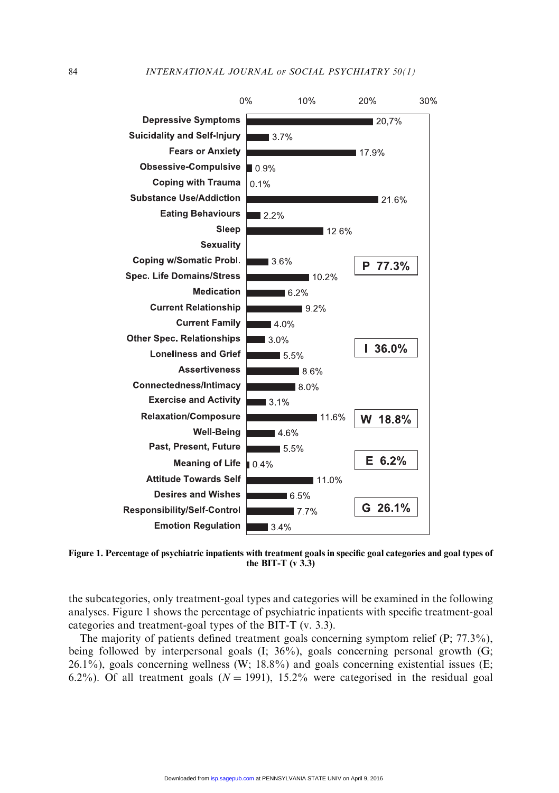

Figure 1. Percentage of psychiatric inpatients with treatment goals in specific goal categories and goal types of the BIT-T (v 3.3)

the subcategories, only treatment-goal types and categories will be examined in the following analyses. Figure 1 shows the percentage of psychiatric inpatients with specific treatment-goal categories and treatment-goal types of the BIT-T (v. 3.3).

The majority of patients defined treatment goals concerning symptom relief (P; 77.3%), being followed by interpersonal goals (I; 36%), goals concerning personal growth (G;  $26.1\%$ ), goals concerning wellness (W; 18.8%) and goals concerning existential issues (E; 6.2%). Of all treatment goals ( $N = 1991$ ), 15.2% were categorised in the residual goal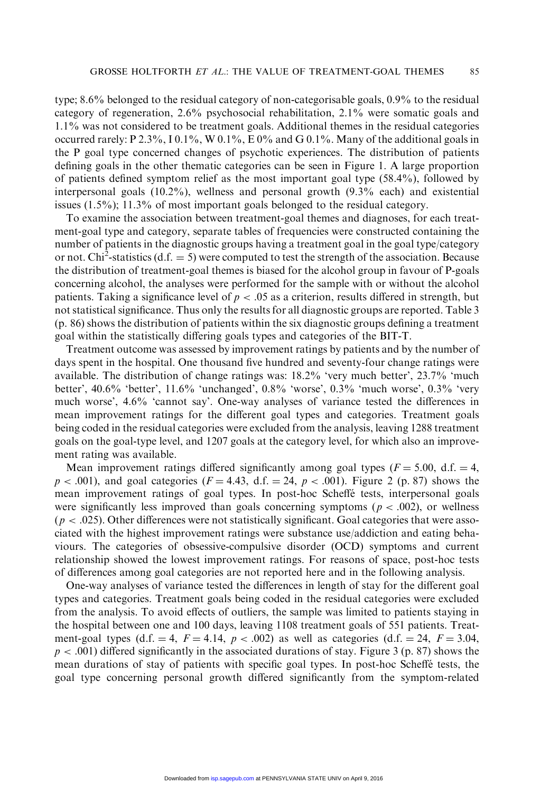type; 8.6% belonged to the residual category of non-categorisable goals, 0.9% to the residual category of regeneration, 2.6% psychosocial rehabilitation, 2.1% were somatic goals and 1.1% was not considered to be treatment goals. Additional themes in the residual categories occurred rarely: P  $2.3\%$ , I  $0.1\%$ , W  $0.1\%$ , E  $0\%$  and G  $0.1\%$ . Many of the additional goals in the P goal type concerned changes of psychotic experiences. The distribution of patients defining goals in the other thematic categories can be seen in Figure 1. A large proportion of patients defined symptom relief as the most important goal type (58.4%), followed by interpersonal goals (10.2%), wellness and personal growth (9.3% each) and existential issues (1.5%); 11.3% of most important goals belonged to the residual category.

To examine the association between treatment-goal themes and diagnoses, for each treatment-goal type and category, separate tables of frequencies were constructed containing the number of patients in the diagnostic groups having a treatment goal in the goal type/category or not. Chi<sup>2</sup>-statistics (d.f. = 5) were computed to test the strength of the association. Because the distribution of treatment-goal themes is biased for the alcohol group in favour of P-goals concerning alcohol, the analyses were performed for the sample with or without the alcohol patients. Taking a significance level of  $p < .05$  as a criterion, results differed in strength, but not statistical significance. Thus only the results for all diagnostic groups are reported. Table 3 (p. 86) shows the distribution of patients within the six diagnostic groups defining a treatment goal within the statistically differing goals types and categories of the BIT-T.

Treatment outcome was assessed by improvement ratings by patients and by the number of days spent in the hospital. One thousand five hundred and seventy-four change ratings were available. The distribution of change ratings was: 18.2% 'very much better', 23.7% 'much better', 40.6% 'better', 11.6% 'unchanged', 0.8% 'worse', 0.3% 'much worse', 0.3% 'very much worse', 4.6% 'cannot say'. One-way analyses of variance tested the differences in mean improvement ratings for the different goal types and categories. Treatment goals being coded in the residual categories were excluded from the analysis, leaving 1288 treatment goals on the goal-type level, and 1207 goals at the category level, for which also an improvement rating was available.

Mean improvement ratings differed significantly among goal types ( $F = 5.00$ , d.f.  $= 4$ ,  $p < .001$ ), and goal categories ( $F = 4.43$ , d.f.  $= 24$ ,  $p < .001$ ). Figure 2 (p. 87) shows the mean improvement ratings of goal types. In post-hoc Scheffe´ tests, interpersonal goals were significantly less improved than goals concerning symptoms ( $p < .002$ ), or wellness  $(p < .025)$ . Other differences were not statistically significant. Goal categories that were associated with the highest improvement ratings were substance use/addiction and eating behaviours. The categories of obsessive-compulsive disorder (OCD) symptoms and current relationship showed the lowest improvement ratings. For reasons of space, post-hoc tests of differences among goal categories are not reported here and in the following analysis.

One-way analyses of variance tested the differences in length of stay for the different goal types and categories. Treatment goals being coded in the residual categories were excluded from the analysis. To avoid effects of outliers, the sample was limited to patients staying in the hospital between one and 100 days, leaving 1108 treatment goals of 551 patients. Treatment-goal types (d.f.  $= 4$ ,  $F = 4.14$ ,  $p < .002$ ) as well as categories (d.f.  $= 24$ ,  $F = 3.04$ ,  $p < .001$ ) differed significantly in the associated durations of stay. Figure 3 (p. 87) shows the mean durations of stay of patients with specific goal types. In post-hoc Scheffe´ tests, the goal type concerning personal growth differed significantly from the symptom-related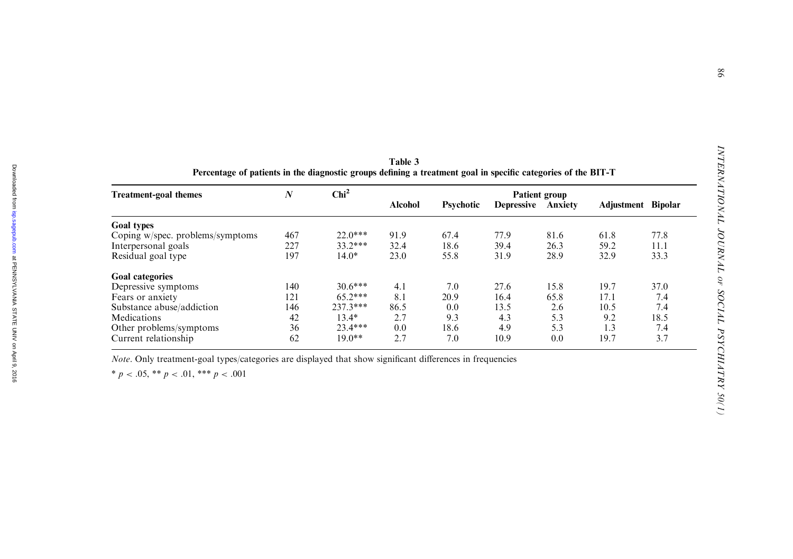| <b>Treatment-goal themes</b>     | $\boldsymbol{N}$ | Chi <sup>2</sup> | Patient group |                  |                   |         |                           |      |
|----------------------------------|------------------|------------------|---------------|------------------|-------------------|---------|---------------------------|------|
|                                  |                  |                  | Alcohol       | <b>Psychotic</b> | <b>Depressive</b> | Anxiety | <b>Adjustment Bipolar</b> |      |
| <b>Goal types</b>                |                  |                  |               |                  |                   |         |                           |      |
| Coping w/spec. problems/symptoms | 467              | $22.0***$        | 91.9          | 67.4             | 77.9              | 81.6    | 61.8                      | 77.8 |
| Interpersonal goals              | 227              | $33.2***$        | 32.4          | 18.6             | 39.4              | 26.3    | 59.2                      | 11.1 |
| Residual goal type               | 197              | $14.0*$          | 23.0          | 55.8             | 31.9              | 28.9    | 32.9                      | 33.3 |
| <b>Goal categories</b>           |                  |                  |               |                  |                   |         |                           |      |
| Depressive symptoms              | 140              | $30.6***$        | 4.1           | 7.0              | 27.6              | 15.8    | 19.7                      | 37.0 |
| Fears or anxiety                 | 121              | $65.2***$        | 8.1           | 20.9             | 16.4              | 65.8    | 17.1                      | 7.4  |
| Substance abuse/addiction        | 146              | $237.3***$       | 86.5          | 0.0              | 13.5              | 2.6     | 10.5                      | 7.4  |
| <b>Medications</b>               | 42               | $13.4*$          | 2.7           | 9.3              | 4.3               | 5.3     | 9.2                       | 18.5 |
| Other problems/symptoms          | 36               | $23.4***$        | 0.0           | 18.6             | 4.9               | 5.3     | 1.3                       | 7.4  |
| Current relationship             | 62               | $19.0**$         | 2.7           | 7.0              | 10.9              | 0.0     | 19.7                      | 3.7  |

| Table 3                                                                                                       |
|---------------------------------------------------------------------------------------------------------------|
| Percentage of patients in the diagnostic groups defining a treatment goal in specific categories of the BIT-T |

*Note*. Only treatment-goal types/categories are displayed that show significant differences in frequencies

\*  $p < .05$ , \*\*  $p < .01$ , \*\*\*  $p < .001$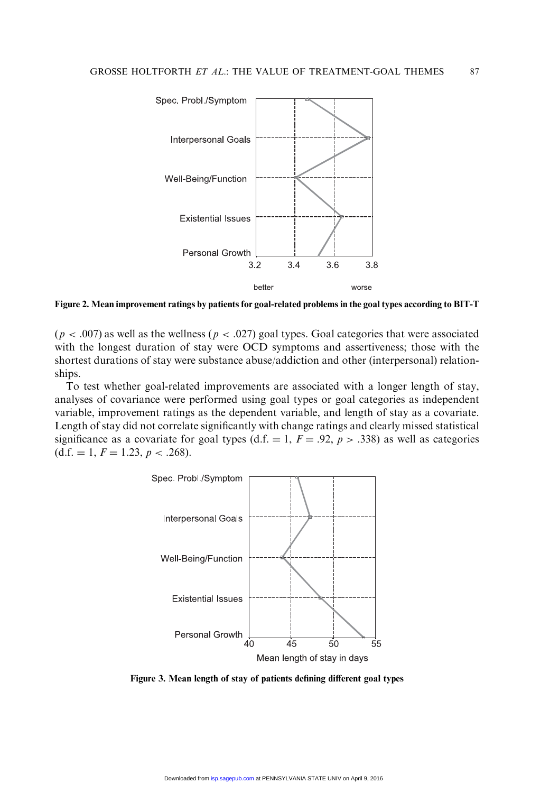

Figure 2. Mean improvement ratings by patients for goal-related problems in the goal types according to BIT-T

 $(p < .007)$  as well as the wellness  $(p < .027)$  goal types. Goal categories that were associated with the longest duration of stay were OCD symptoms and assertiveness; those with the shortest durations of stay were substance abuse/addiction and other (interpersonal) relationships.

To test whether goal-related improvements are associated with a longer length of stay, analyses of covariance were performed using goal types or goal categories as independent variable, improvement ratings as the dependent variable, and length of stay as a covariate. Length of stay did not correlate significantly with change ratings and clearly missed statistical significance as a covariate for goal types (d.f.  $= 1, F = .92, p > .338$ ) as well as categories  $(d.f. = 1, F = 1.23, p < .268).$ 



Figure 3. Mean length of stay of patients defining different goal types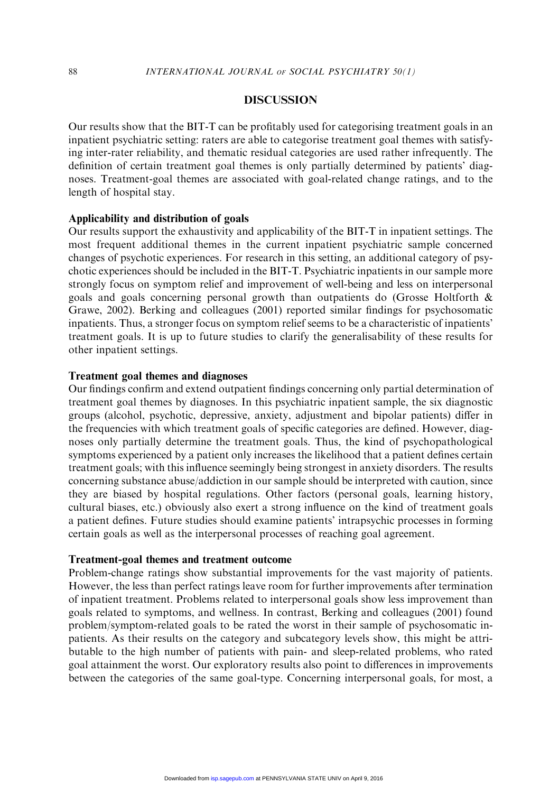#### **DISCUSSION**

Our results show that the BIT-T can be profitably used for categorising treatment goals in an inpatient psychiatric setting: raters are able to categorise treatment goal themes with satisfying inter-rater reliability, and thematic residual categories are used rather infrequently. The definition of certain treatment goal themes is only partially determined by patients' diagnoses. Treatment-goal themes are associated with goal-related change ratings, and to the length of hospital stay.

### Applicability and distribution of goals

Our results support the exhaustivity and applicability of the BIT-T in inpatient settings. The most frequent additional themes in the current inpatient psychiatric sample concerned changes of psychotic experiences. For research in this setting, an additional category of psychotic experiences should be included in the BIT-T. Psychiatric inpatients in our sample more strongly focus on symptom relief and improvement of well-being and less on interpersonal goals and goals concerning personal growth than outpatients do (Grosse Holtforth  $\&$ Grawe, 2002). Berking and colleagues (2001) reported similar findings for psychosomatic inpatients. Thus, a stronger focus on symptom relief seems to be a characteristic of inpatients' treatment goals. It is up to future studies to clarify the generalisability of these results for other inpatient settings.

#### Treatment goal themes and diagnoses

Our findings confirm and extend outpatient findings concerning only partial determination of treatment goal themes by diagnoses. In this psychiatric inpatient sample, the six diagnostic groups (alcohol, psychotic, depressive, anxiety, adjustment and bipolar patients) differ in the frequencies with which treatment goals of specific categories are defined. However, diagnoses only partially determine the treatment goals. Thus, the kind of psychopathological symptoms experienced by a patient only increases the likelihood that a patient defines certain treatment goals; with this influence seemingly being strongest in anxiety disorders. The results concerning substance abuse/addiction in our sample should be interpreted with caution, since they are biased by hospital regulations. Other factors (personal goals, learning history, cultural biases, etc.) obviously also exert a strong influence on the kind of treatment goals a patient defines. Future studies should examine patients' intrapsychic processes in forming certain goals as well as the interpersonal processes of reaching goal agreement.

#### Treatment-goal themes and treatment outcome

Problem-change ratings show substantial improvements for the vast majority of patients. However, the less than perfect ratings leave room for further improvements after termination of inpatient treatment. Problems related to interpersonal goals show less improvement than goals related to symptoms, and wellness. In contrast, Berking and colleagues (2001) found problem/symptom-related goals to be rated the worst in their sample of psychosomatic inpatients. As their results on the category and subcategory levels show, this might be attributable to the high number of patients with pain- and sleep-related problems, who rated goal attainment the worst. Our exploratory results also point to differences in improvements between the categories of the same goal-type. Concerning interpersonal goals, for most, a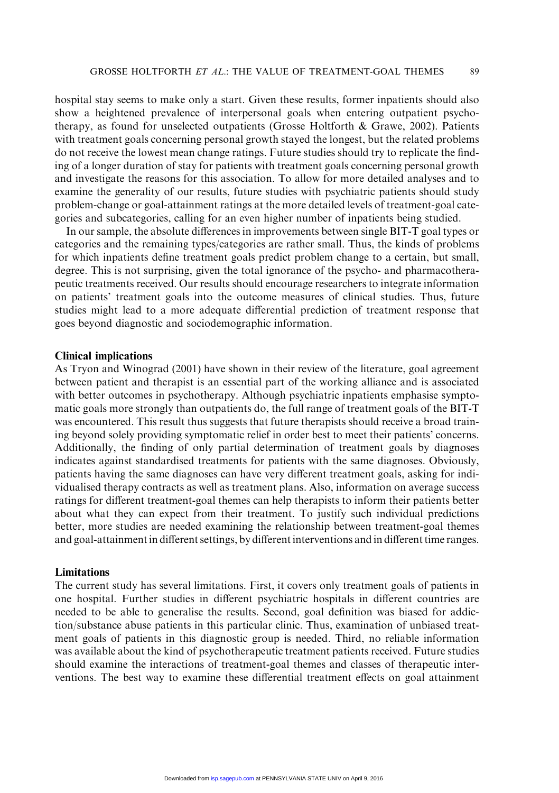hospital stay seems to make only a start. Given these results, former inpatients should also show a heightened prevalence of interpersonal goals when entering outpatient psychotherapy, as found for unselected outpatients (Grosse Holtforth  $\&$  Grawe, 2002). Patients with treatment goals concerning personal growth stayed the longest, but the related problems do not receive the lowest mean change ratings. Future studies should try to replicate the finding of a longer duration of stay for patients with treatment goals concerning personal growth and investigate the reasons for this association. To allow for more detailed analyses and to examine the generality of our results, future studies with psychiatric patients should study problem-change or goal-attainment ratings at the more detailed levels of treatment-goal categories and subcategories, calling for an even higher number of inpatients being studied.

In our sample, the absolute differences in improvements between single BIT-T goal types or categories and the remaining types/categories are rather small. Thus, the kinds of problems for which inpatients define treatment goals predict problem change to a certain, but small, degree. This is not surprising, given the total ignorance of the psycho- and pharmacotherapeutic treatments received. Our results should encourage researchers to integrate information on patients' treatment goals into the outcome measures of clinical studies. Thus, future studies might lead to a more adequate differential prediction of treatment response that goes beyond diagnostic and sociodemographic information.

#### Clinical implications

As Tryon and Winograd (2001) have shown in their review of the literature, goal agreement between patient and therapist is an essential part of the working alliance and is associated with better outcomes in psychotherapy. Although psychiatric inpatients emphasise symptomatic goals more strongly than outpatients do, the full range of treatment goals of the BIT-T was encountered. This result thus suggests that future therapists should receive a broad training beyond solely providing symptomatic relief in order best to meet their patients' concerns. Additionally, the finding of only partial determination of treatment goals by diagnoses indicates against standardised treatments for patients with the same diagnoses. Obviously, patients having the same diagnoses can have very different treatment goals, asking for individualised therapy contracts as well as treatment plans. Also, information on average success ratings for different treatment-goal themes can help therapists to inform their patients better about what they can expect from their treatment. To justify such individual predictions better, more studies are needed examining the relationship between treatment-goal themes and goal-attainment in different settings, by different interventions and in different time ranges.

### Limitations

The current study has several limitations. First, it covers only treatment goals of patients in one hospital. Further studies in different psychiatric hospitals in different countries are needed to be able to generalise the results. Second, goal definition was biased for addiction/substance abuse patients in this particular clinic. Thus, examination of unbiased treatment goals of patients in this diagnostic group is needed. Third, no reliable information was available about the kind of psychotherapeutic treatment patients received. Future studies should examine the interactions of treatment-goal themes and classes of therapeutic interventions. The best way to examine these differential treatment effects on goal attainment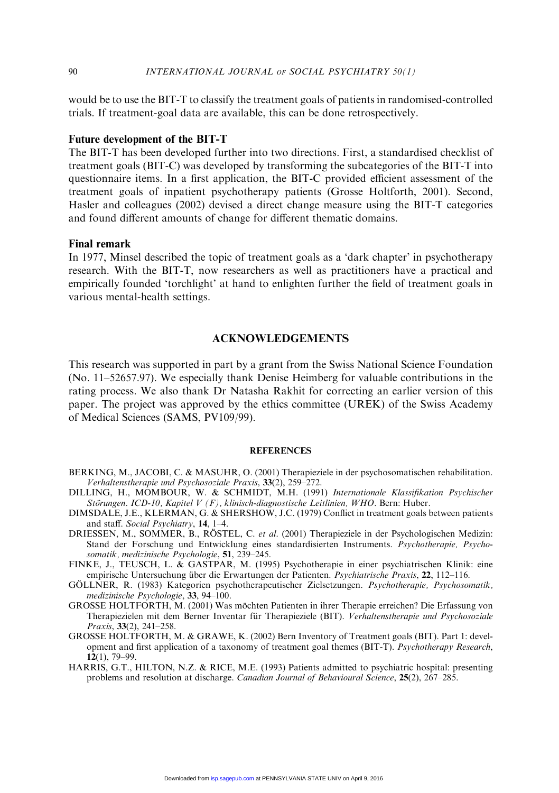would be to use the BIT-T to classify the treatment goals of patients in randomised-controlled trials. If treatment-goal data are available, this can be done retrospectively.

#### Future development of the BIT-T

The BIT-T has been developed further into two directions. First, a standardised checklist of treatment goals (BIT-C) was developed by transforming the subcategories of the BIT-T into questionnaire items. In a first application, the BIT-C provided efficient assessment of the treatment goals of inpatient psychotherapy patients (Grosse Holtforth, 2001). Second, Hasler and colleagues (2002) devised a direct change measure using the BIT-T categories and found different amounts of change for different thematic domains.

#### Final remark

In 1977, Minsel described the topic of treatment goals as a 'dark chapter' in psychotherapy research. With the BIT-T, now researchers as well as practitioners have a practical and empirically founded 'torchlight' at hand to enlighten further the field of treatment goals in various mental-health settings.

### ACKNOWLEDGEMENTS

This research was supported in part by a grant from the Swiss National Science Foundation (No. 11–52657.97). We especially thank Denise Heimberg for valuable contributions in the rating process. We also thank Dr Natasha Rakhit for correcting an earlier version of this paper. The project was approved by the ethics committee (UREK) of the Swiss Academy of Medical Sciences (SAMS, PV109/99).

#### **REFERENCES**

- BERKING, M., JACOBI, C. & MASUHR, O. (2001) Therapieziele in der psychosomatischen rehabilitation. Verhaltenstherapie und Psychosoziale Praxis, 33(2), 259–272.
- DILLING, H., MOMBOUR, W. & SCHMIDT, M.H. (1991) Internationale Klassifikation Psychischer Störungen. ICD-10, Kapitel V (F), klinisch-diagnostische Leitlinien, WHO. Bern: Huber.
- DIMSDALE, J.E., KLERMAN, G. & SHERSHOW, J.C. (1979) Conflict in treatment goals between patients and staff. Social Psychiatry, 14, 1–4.
- DRIESSEN, M., SOMMER, B., RÖSTEL, C. et al. (2001) Therapieziele in der Psychologischen Medizin: Stand der Forschung und Entwicklung eines standardisierten Instruments. Psychotherapie, Psychosomatik, medizinische Psychologie, 51, 239–245.
- FINKE, J., TEUSCH, L. & GASTPAR, M. (1995) Psychotherapie in einer psychiatrischen Klinik: eine empirische Untersuchung über die Erwartungen der Patienten. Psychiatrische Praxis, 22, 112–116.
- GÖLLNER, R. (1983) Kategorien psychotherapeutischer Zielsetzungen. Psychotherapie, Psychosomatik, medizinische Psychologie, 33, 94–100.
- GROSSE HOLTFORTH, M. (2001) Was möchten Patienten in ihrer Therapie erreichen? Die Erfassung von Therapiezielen mit dem Berner Inventar für Therapieziele (BIT). Verhaltenstherapie und Psychosoziale Praxis, 33(2), 241–258.
- GROSSE HOLTFORTH, M. & GRAWE, K. (2002) Bern Inventory of Treatment goals (BIT). Part 1: development and first application of a taxonomy of treatment goal themes (BIT-T). Psychotherapy Research,  $12(1)$ , 79–99.
- HARRIS, G.T., HILTON, N.Z. & RICE, M.E. (1993) Patients admitted to psychiatric hospital: presenting problems and resolution at discharge. Canadian Journal of Behavioural Science, 25(2), 267–285.